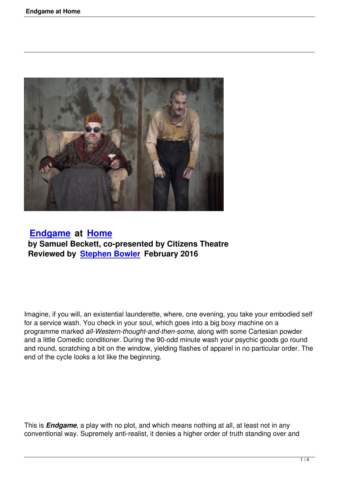

## **Endgame at Home by Samuel Beckett, co-presented by Citizens Theatre [Reviewed b](endgame-at-home.html)y S[tephen](http://www.homemcr.org) Bowler February 2016**

Imagine, if you will, an existential launderette, where, one evening, you take your embodied self for a service wash. You check in your soul, which goes into a big boxy machine on a programme marked *all-Western-thought-and-then-some*, along with some Cartesian powder and a little Comedic conditioner. During the 90-odd minute wash your psychic goods go round and round, scratching a bit on the window, yielding flashes of apparel in no particular order. The end of the cycle looks a lot like the beginning.

This is *Endgame*, a play with no plot, and which means nothing at all, at least not in any conventional way. Supremely anti-realist, it denies a higher order of truth standing over and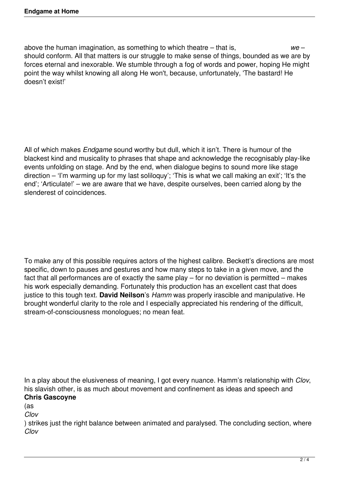above the human imagination, as something to which theatre – that is, *we* – should conform. All that matters is our struggle to make sense of things, bounded as we are by forces eternal and inexorable. We stumble through a fog of words and power, hoping He might point the way whilst knowing all along He won't, because, unfortunately, 'The bastard! He doesn't exist!'

All of which makes *Endgame* sound worthy but dull, which it isn't. There is humour of the blackest kind and musicality to phrases that shape and acknowledge the recognisably play-like events unfolding on stage. And by the end, when dialogue begins to sound more like stage direction – 'I'm warming up for my last soliloquy'; 'This is what we call making an exit'; 'It's the end'; 'Articulate!' – we are aware that we have, despite ourselves, been carried along by the slenderest of coincidences.

To make any of this possible requires actors of the highest calibre. Beckett's directions are most specific, down to pauses and gestures and how many steps to take in a given move, and the fact that all performances are of exactly the same play – for no deviation is permitted – makes his work especially demanding. Fortunately this production has an excellent cast that does justice to this tough text. **David Neilson**'s *Hamm* was properly irascible and manipulative. He brought wonderful clarity to the role and I especially appreciated his rendering of the difficult, stream-of-consciousness monologues; no mean feat.

In a play about the elusiveness of meaning, I got every nuance. Hamm's relationship with *Clov*, his slavish other, is as much about movement and confinement as ideas and speech and **Chris Gascoyne**

(as

*Clov*

) strikes just the right balance between animated and paralysed. The concluding section, where *Clov*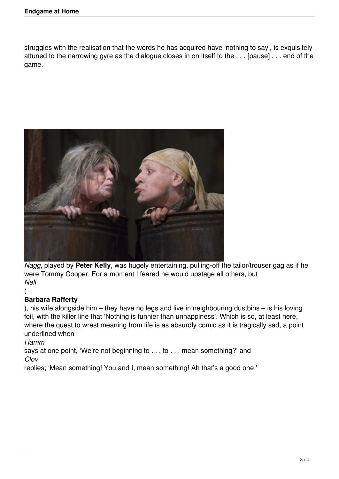struggles with the realisation that the words he has acquired have 'nothing to say', is exquisitely attuned to the narrowing gyre as the dialogue closes in on itself to the . . . [pause] . . . end of the game.



*Nagg*, played by **Peter Kelly**, was hugely entertaining, pulling-off the tailor/trouser gag as if he were Tommy Cooper. For a moment I feared he would upstage all others, but *Nell*

## ( **Barbara Rafferty**

), his wife alongside him – they have no legs and live in neighbouring dustbins – is his loving foil, with the killer line that 'Nothing is funnier than unhappiness'. Which is so, at least here, where the quest to wrest meaning from life is as absurdly comic as it is tragically sad, a point underlined when

*Hamm*

says at one point, 'We're not beginning to . . . to . . . mean something?' and *Clov*

replies; 'Mean something! You and I, mean something! Ah that's a good one!'